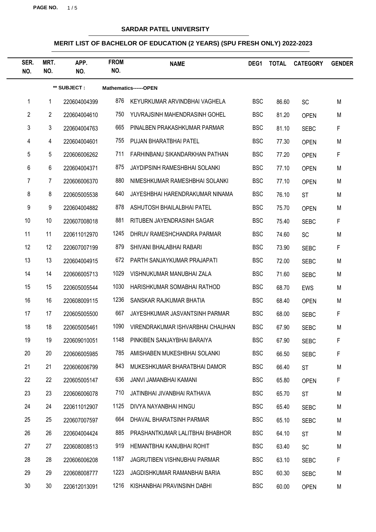**PAGE NO.** 1 / 5

## **SARDAR PATEL UNIVERSITY**

| SER.<br>NO.    | MRT.<br>NO.     | APP.<br>NO.  | <b>FROM</b><br>NO. | <b>NAME</b>                      | DEG1       | <b>TOTAL</b> | <b>CATEGORY</b> | <b>GENDER</b> |
|----------------|-----------------|--------------|--------------------|----------------------------------|------------|--------------|-----------------|---------------|
|                |                 | ** SUBJECT : |                    | Mathematics------OPEN            |            |              |                 |               |
| 1              | 1               | 220604004399 | 876                | KEYURKUMAR ARVINDBHAI VAGHELA    | <b>BSC</b> | 86.60        | <b>SC</b>       | M             |
| $\overline{2}$ | $\overline{2}$  | 220604004610 | 750                | YUVRAJSINH MAHENDRASINH GOHEL    | <b>BSC</b> | 81.20        | <b>OPEN</b>     | M             |
| 3              | $\mathbf{3}$    | 220604004763 | 665                | PINALBEN PRAKASHKUMAR PARMAR     | <b>BSC</b> | 81.10        | <b>SEBC</b>     | F             |
| 4              | $\overline{4}$  | 220604004601 | 755                | PUJAN BHARATBHAI PATEL           | <b>BSC</b> | 77.30        | <b>OPEN</b>     | M             |
| 5              | 5               | 220606006262 | 711                | FARHINBANU SIKANDARKHAN PATHAN   | <b>BSC</b> | 77.20        | <b>OPEN</b>     | F             |
| 6              | 6               | 220604004371 | 875                | JAYDIPSINH RAMESHBHAI SOLANKI    | <b>BSC</b> | 77.10        | <b>OPEN</b>     | M             |
| 7              | 7               | 220606006370 | 880                | NIMESHKUMAR RAMESHBHAI SOLANKI   | <b>BSC</b> | 77.10        | <b>OPEN</b>     | M             |
| 8              | 8               | 220605005538 | 640                | JAYESHBHAI HARENDRAKUMAR NINAMA  | <b>BSC</b> | 76.10        | <b>ST</b>       | M             |
| 9              | 9               | 220604004882 | 878                | ASHUTOSH BHAILALBHAI PATEL       | <b>BSC</b> | 75.70        | <b>OPEN</b>     | M             |
| 10             | 10 <sup>°</sup> | 220607008018 | 881                | RITUBEN JAYENDRASINH SAGAR       | <b>BSC</b> | 75.40        | <b>SEBC</b>     | F             |
| 11             | 11              | 220611012970 | 1245               | DHRUV RAMESHCHANDRA PARMAR       | <b>BSC</b> | 74.60        | <b>SC</b>       | M             |
| 12             | 12              | 220607007199 | 879                | SHIVANI BHALABHAI RABARI         | <b>BSC</b> | 73.90        | <b>SEBC</b>     | F             |
| 13             | 13              | 220604004915 | 672                | PARTH SANJAYKUMAR PRAJAPATI      | <b>BSC</b> | 72.00        | <b>SEBC</b>     | M             |
| 14             | 14              | 220606005713 | 1029               | VISHNUKUMAR MANUBHAI ZALA        | <b>BSC</b> | 71.60        | <b>SEBC</b>     | M             |
| 15             | 15              | 220605005544 | 1030               | HARISHKUMAR SOMABHAI RATHOD      | <b>BSC</b> | 68.70        | <b>EWS</b>      | M             |
| 16             | 16              | 220608009115 | 1236               | SANSKAR RAJKUMAR BHATIA          | <b>BSC</b> | 68.40        | <b>OPEN</b>     | M             |
| 17             | 17              | 220605005500 | 667                | JAYESHKUMAR JASVANTSINH PARMAR   | <b>BSC</b> | 68.00        | <b>SEBC</b>     | F             |
| 18             | 18              | 220605005461 | 1090               | VIRENDRAKUMAR ISHVARBHAI CHAUHAN | <b>BSC</b> | 67.90        | <b>SEBC</b>     | M             |
| 19             | 19              | 220609010051 | 1148               | PINKIBEN SANJAYBHAI BARAIYA      | <b>BSC</b> | 67.90        | <b>SEBC</b>     | ۲             |
| 20             | 20              | 220606005985 | 785                | AMISHABEN MUKESHBHAI SOLANKI     | <b>BSC</b> | 66.50        | <b>SEBC</b>     | F             |
| 21             | 21              | 220606006799 | 843                | MUKESHKUMAR BHARATBHAI DAMOR     | <b>BSC</b> | 66.40        | <b>ST</b>       | M             |
| 22             | 22              | 220605005147 | 636                | JANVI JAMANBHAI KAMANI           | <b>BSC</b> | 65.80        | <b>OPEN</b>     | F             |
| 23             | 23              | 220606006078 | 710                | JATINBHAI JIVANBHAI RATHAVA      | <b>BSC</b> | 65.70        | <b>ST</b>       | M             |
| 24             | 24              | 220611012907 | 1125               | DIVYA NAYANBHAI HINGU            | <b>BSC</b> | 65.40        | <b>SEBC</b>     | M             |
| 25             | 25              | 220607007597 | 664                | DHAVAL BHARATSINH PARMAR         | <b>BSC</b> | 65.10        | <b>SEBC</b>     | M             |
| 26             | 26              | 220604004424 | 885                | PRASHANTKUMAR LALITBHAI BHABHOR  | <b>BSC</b> | 64.10        | <b>ST</b>       | M             |
| 27             | 27              | 220608008513 | 919                | HEMANTBHAI KANUBHAI ROHIT        | <b>BSC</b> | 63.40        | <b>SC</b>       | M             |
| 28             | 28              | 220606006208 | 1187               | JAGRUTIBEN VISHNUBHAI PARMAR     | <b>BSC</b> | 63.10        | <b>SEBC</b>     | F             |
| 29             | 29              | 220608008777 | 1223               | JAGDISHKUMAR RAMANBHAI BARIA     | <b>BSC</b> | 60.30        | <b>SEBC</b>     | M             |
| 30             | 30              | 220612013091 | 1216               | KISHANBHAI PRAVINSINH DABHI      | <b>BSC</b> | 60.00        | <b>OPEN</b>     | M             |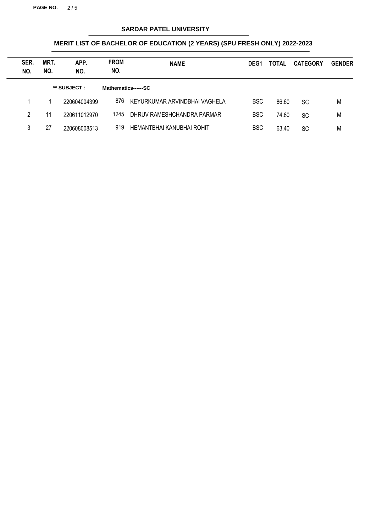**PAGE NO.** 2 / 5

## **SARDAR PATEL UNIVERSITY**

| SER.<br>NO. | MRT.<br>NO. | APP.<br>NO.  | <b>FROM</b><br>NO.  | <b>NAME</b>                   | DEG <sub>1</sub> | <b>TOTAL</b> | <b>CATEGORY</b> | <b>GENDER</b> |
|-------------|-------------|--------------|---------------------|-------------------------------|------------------|--------------|-----------------|---------------|
|             |             | ** SUBJECT : | Mathematics------SC |                               |                  |              |                 |               |
|             |             | 220604004399 | 876                 | KEYURKUMAR ARVINDBHAI VAGHELA | <b>BSC</b>       | 86.60        | <b>SC</b>       | M             |
| 2           | 11          | 220611012970 | 1245                | DHRUV RAMESHCHANDRA PARMAR    | <b>BSC</b>       | 74.60        | <b>SC</b>       | M             |
| 3           | 27          | 220608008513 | 919                 | HEMANTBHAI KANUBHAI ROHIT     | <b>BSC</b>       | 63.40        | SC              | M             |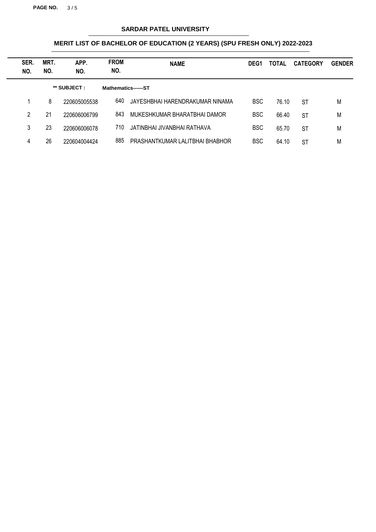**PAGE NO.** 3 / 5

## **SARDAR PATEL UNIVERSITY**

| SER.<br>NO. | MRT.<br>NO. | APP.<br>NO.  | <b>FROM</b><br>NO.  | <b>NAME</b>                     | DEG <sub>1</sub> | TOTAL | <b>CATEGORY</b> | <b>GENDER</b> |
|-------------|-------------|--------------|---------------------|---------------------------------|------------------|-------|-----------------|---------------|
|             |             | ** SUBJECT : | Mathematics------ST |                                 |                  |       |                 |               |
|             | 8           | 220605005538 | 640                 | JAYESHBHAI HARENDRAKUMAR NINAMA | <b>BSC</b>       | 76.10 | ST              | M             |
| 2           | 21          | 220606006799 | 843                 | MUKESHKUMAR BHARATBHAI DAMOR    | <b>BSC</b>       | 66.40 | <b>ST</b>       | M             |
| 3           | 23          | 220606006078 | 710                 | JATINBHAI JIVANBHAI RATHAVA     | <b>BSC</b>       | 65.70 | <b>ST</b>       | M             |
| 4           | 26          | 220604004424 | 885                 | PRASHANTKUMAR LALITBHAI BHABHOR | <b>BSC</b>       | 64.10 | <b>ST</b>       | M             |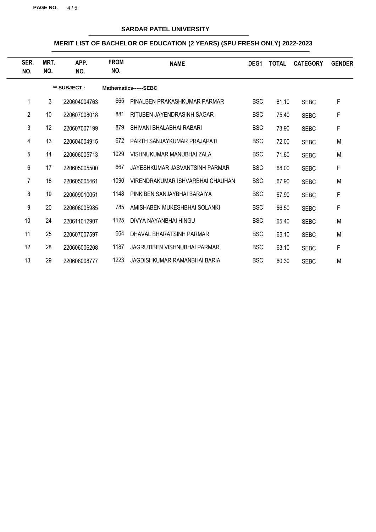**PAGE NO.** 4 / 5

## **SARDAR PATEL UNIVERSITY**

| SER.<br>NO.    | MRT.<br>NO.     | APP.<br>NO.  | <b>FROM</b><br>NO. | <b>NAME</b>                      | DEG <sub>1</sub> | <b>TOTAL</b> | <b>CATEGORY</b> | <b>GENDER</b> |
|----------------|-----------------|--------------|--------------------|----------------------------------|------------------|--------------|-----------------|---------------|
|                |                 | ** SUBJECT : |                    | Mathematics------SEBC            |                  |              |                 |               |
|                | 3               | 220604004763 | 665                | PINALBEN PRAKASHKUMAR PARMAR     | <b>BSC</b>       | 81.10        | <b>SEBC</b>     | F             |
| $\overline{2}$ | 10 <sup>°</sup> | 220607008018 | 881                | RITUBEN JAYENDRASINH SAGAR       | <b>BSC</b>       | 75.40        | <b>SEBC</b>     | F             |
| 3              | 12              | 220607007199 | 879                | SHIVANI BHALABHAI RABARI         | <b>BSC</b>       | 73.90        | <b>SEBC</b>     | F             |
| 4              | 13              | 220604004915 | 672                | PARTH SANJAYKUMAR PRAJAPATI      | <b>BSC</b>       | 72.00        | <b>SEBC</b>     | M             |
| 5              | 14              | 220606005713 | 1029               | VISHNUKUMAR MANUBHAI ZALA        | <b>BSC</b>       | 71.60        | <b>SEBC</b>     | M             |
| 6              | 17              | 220605005500 | 667                | JAYESHKUMAR JASVANTSINH PARMAR   | <b>BSC</b>       | 68.00        | <b>SEBC</b>     | F             |
| 7              | 18              | 220605005461 | 1090               | VIRENDRAKUMAR ISHVARBHAI CHAUHAN | <b>BSC</b>       | 67.90        | <b>SEBC</b>     | M             |
| 8              | 19              | 220609010051 | 1148               | PINKIBEN SANJAYBHAI BARAIYA      | <b>BSC</b>       | 67.90        | <b>SEBC</b>     | F             |
| 9              | 20              | 220606005985 | 785                | AMISHABEN MUKESHBHAI SOLANKI     | <b>BSC</b>       | 66.50        | <b>SEBC</b>     | F             |
| 10             | 24              | 220611012907 | 1125               | DIVYA NAYANBHAI HINGU            | <b>BSC</b>       | 65.40        | <b>SEBC</b>     | M             |
| 11             | 25              | 220607007597 | 664                | DHAVAL BHARATSINH PARMAR         | <b>BSC</b>       | 65.10        | <b>SEBC</b>     | M             |
| 12             | 28              | 220606006208 | 1187               | JAGRUTIBEN VISHNUBHAI PARMAR     | <b>BSC</b>       | 63.10        | <b>SEBC</b>     | F             |
| 13             | 29              | 220608008777 | 1223               | JAGDISHKUMAR RAMANBHAI BARIA     | <b>BSC</b>       | 60.30        | <b>SEBC</b>     | M             |